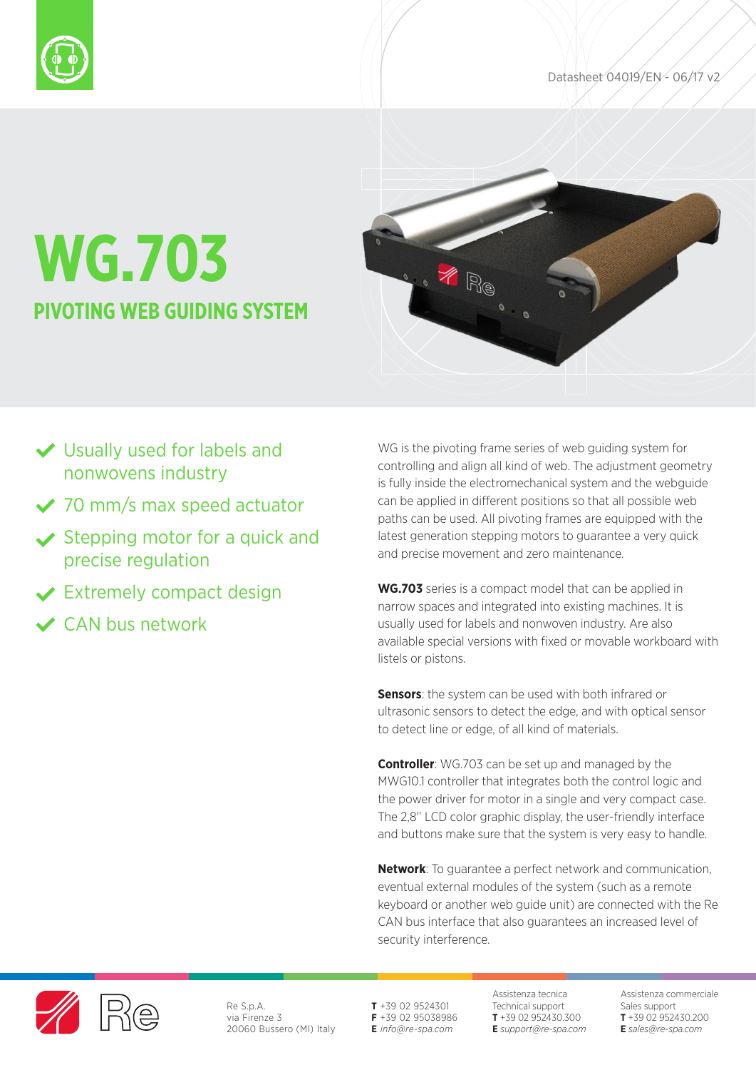



# **WG.703 PIVOTING WEB GUIDING SYSTEM**



- Usually used for labels and nonwovens industry
- ◆ 70 mm/s max speed actuator
- $\vee$  Stepping motor for a quick and precise regulation
- **◆ Extremely compact design**
- CAN bus network

WG is the pivoting frame series of web guiding system for controlling and align all kind of web. The adjustment geometry is fully inside the electromechanical system and the webguide can be applied in different positions so that all possible web paths can be used. All pivoting frames are equipped with the latest generation stepping motors to guarantee a very quick and precise movement and zero maintenance.

**WG.703** series is a compact model that can be applied in narrow spaces and integrated into existing machines. It is usually used for labels and nonwoven industry. Are also available special versions with fixed or movable workboard with listels or pistons.

**Sensors:** the system can be used with both infrared or ultrasonic sensors to detect the edge, and with optical sensor to detect line or edge, of all kind of materials.

**Controller**: WG.703 can be set up and managed by the MWG10.1 controller that integrates both the control logic and the power driver for motor in a single and very compact case. The 2,8' LCD color graphic display, the user-friendly interface and buttons make sure that the system is very easy to handle.

**Network**: To guarantee a perfect network and communication, eventual external modules of the system (such as a remote keyboard or another web guide unit) are connected with the Re CAN bus interface that also guarantees an increased level of security interference.



Re S.p.A. via Firenze 3 20060 Bussero (MI) Italy **T** +39 02 9524301 **F** +39 02 95038986 **E** *info@re-spa.com*

Assistenza tecnica Technical support **T** +39 02 952430.300 **E** *support@re-spa.com* Assistenza commerciale Sales support **T** +39 02 952430.200 **E** *sales@re-spa.com*